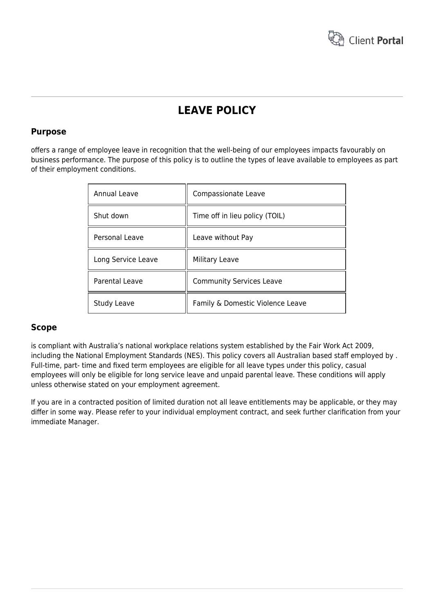

# **LEAVE POLICY**

### **Purpose**

offers a range of employee leave in recognition that the well-being of our employees impacts favourably on business performance. The purpose of this policy is to outline the types of leave available to employees as part of their employment conditions.

| Annual Leave       | Compassionate Leave              |
|--------------------|----------------------------------|
| Shut down          | Time off in lieu policy (TOIL)   |
| Personal Leave     | Leave without Pay                |
| Long Service Leave | Military Leave                   |
| Parental Leave     | <b>Community Services Leave</b>  |
| <b>Study Leave</b> | Family & Domestic Violence Leave |

### **Scope**

is compliant with Australia's national workplace relations system established by the Fair Work Act 2009, including the National Employment Standards (NES). This policy covers all Australian based staff employed by . Full-time, part- time and fixed term employees are eligible for all leave types under this policy, casual employees will only be eligible for long service leave and unpaid parental leave. These conditions will apply unless otherwise stated on your employment agreement.

If you are in a contracted position of limited duration not all leave entitlements may be applicable, or they may differ in some way. Please refer to your individual employment contract, and seek further clarification from your immediate Manager.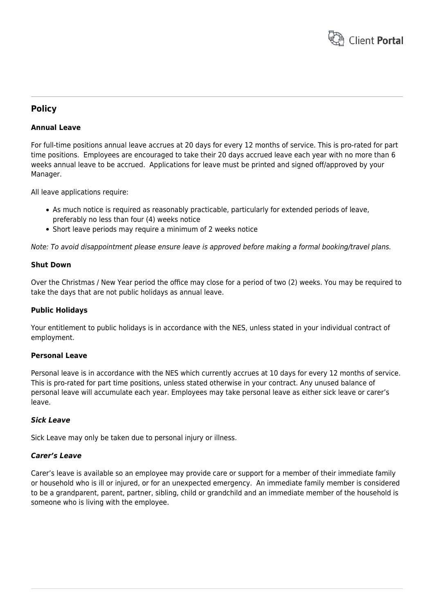

### **Policy**

### **Annual Leave**

For full-time positions annual leave accrues at 20 days for every 12 months of service. This is pro-rated for part time positions. Employees are encouraged to take their 20 days accrued leave each year with no more than 6 weeks annual leave to be accrued. Applications for leave must be printed and signed off/approved by your Manager.

All leave applications require:

- As much notice is required as reasonably practicable, particularly for extended periods of leave, preferably no less than four (4) weeks notice
- Short leave periods may require a minimum of 2 weeks notice

Note: To avoid disappointment please ensure leave is approved before making a formal booking/travel plans.

#### **Shut Down**

Over the Christmas / New Year period the office may close for a period of two (2) weeks. You may be required to take the days that are not public holidays as annual leave.

#### **Public Holidays**

Your entitlement to public holidays is in accordance with the NES, unless stated in your individual contract of employment.

#### **Personal Leave**

Personal leave is in accordance with the NES which currently accrues at 10 days for every 12 months of service. This is pro-rated for part time positions, unless stated otherwise in your contract. Any unused balance of personal leave will accumulate each year. Employees may take personal leave as either sick leave or carer's leave.

#### *Sick Leave*

Sick Leave may only be taken due to personal injury or illness.

#### *Carer's Leave*

Carer's leave is available so an employee may provide care or support for a member of their immediate family or household who is ill or injured, or for an unexpected emergency. An immediate family member is considered to be a grandparent, parent, partner, sibling, child or grandchild and an immediate member of the household is someone who is living with the employee.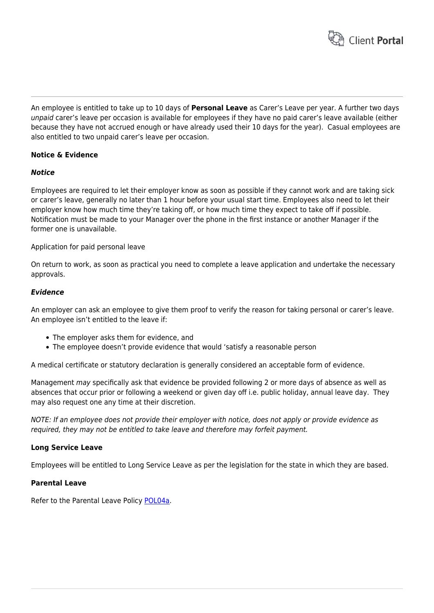

An employee is entitled to take up to 10 days of **Personal Leave** as Carer's Leave per year. A further two days unpaid carer's leave per occasion is available for employees if they have no paid carer's leave available (either because they have not accrued enough or have already used their 10 days for the year). Casual employees are also entitled to two unpaid carer's leave per occasion.

### **Notice & Evidence**

#### *Notice*

Employees are required to let their employer know as soon as possible if they cannot work and are taking sick or carer's leave, generally no later than 1 hour before your usual start time. Employees also need to let their employer know how much time they're taking off, or how much time they expect to take off if possible. Notification must be made to your Manager over the phone in the first instance or another Manager if the former one is unavailable.

Application for paid personal leave

On return to work, as soon as practical you need to complete a leave application and undertake the necessary approvals.

#### *Evidence*

An employer can ask an employee to give them proof to verify the reason for taking personal or carer's leave. An employee isn't entitled to the leave if:

- The employer asks them for evidence, and
- The employee doesn't provide evidence that would 'satisfy a reasonable person

A medical certificate or statutory declaration is generally considered an acceptable form of evidence.

Management may specifically ask that evidence be provided following 2 or more days of absence as well as absences that occur prior or following a weekend or given day off i.e. public holiday, annual leave day. They may also request one any time at their discretion.

NOTE: If an employee does not provide their employer with notice, does not apply or provide evidence as required, they may not be entitled to take leave and therefore may forfeit payment.

#### **Long Service Leave**

Employees will be entitled to Long Service Leave as per the legislation for the state in which they are based.

#### **Parental Leave**

Refer to the Parental Leave Policy [POL04a.](https://www.hrtemplates.com.au/policies_procedures/hr-pol04a-parental-leave-policy/)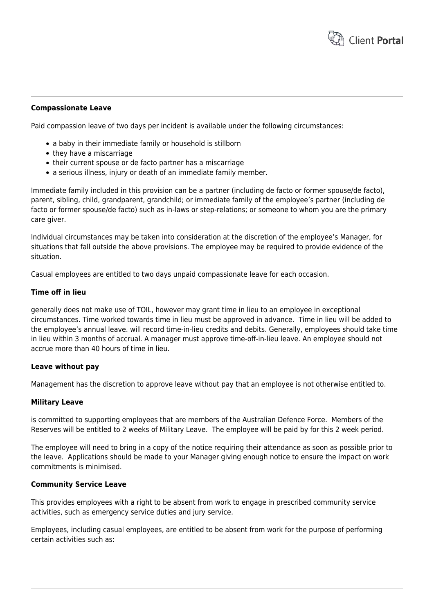

#### **Compassionate Leave**

Paid compassion leave of two days per incident is available under the following circumstances:

- a baby in their immediate family or household is stillborn
- they have a miscarriage
- their current spouse or de facto partner has a miscarriage
- a serious illness, injury or death of an immediate family member.

Immediate family included in this provision can be a partner (including de facto or former spouse/de facto), parent, sibling, child, grandparent, grandchild; or immediate family of the employee's partner (including de facto or former spouse/de facto) such as in-laws or step-relations; or someone to whom you are the primary care giver.

Individual circumstances may be taken into consideration at the discretion of the employee's Manager, for situations that fall outside the above provisions. The employee may be required to provide evidence of the situation.

Casual employees are entitled to two days unpaid compassionate leave for each occasion.

#### **Time off in lieu**

generally does not make use of TOIL, however may grant time in lieu to an employee in exceptional circumstances. Time worked towards time in lieu must be approved in advance. Time in lieu will be added to the employee's annual leave. will record time-in-lieu credits and debits. Generally, employees should take time in lieu within 3 months of accrual. A manager must approve time-off-in-lieu leave. An employee should not accrue more than 40 hours of time in lieu.

#### **Leave without pay**

Management has the discretion to approve leave without pay that an employee is not otherwise entitled to.

#### **Military Leave**

is committed to supporting employees that are members of the Australian Defence Force. Members of the Reserves will be entitled to 2 weeks of Military Leave. The employee will be paid by for this 2 week period.

The employee will need to bring in a copy of the notice requiring their attendance as soon as possible prior to the leave. Applications should be made to your Manager giving enough notice to ensure the impact on work commitments is minimised.

#### **Community Service Leave**

This provides employees with a right to be absent from work to engage in prescribed community service activities, such as emergency service duties and jury service.

Employees, including casual employees, are entitled to be absent from work for the purpose of performing certain activities such as: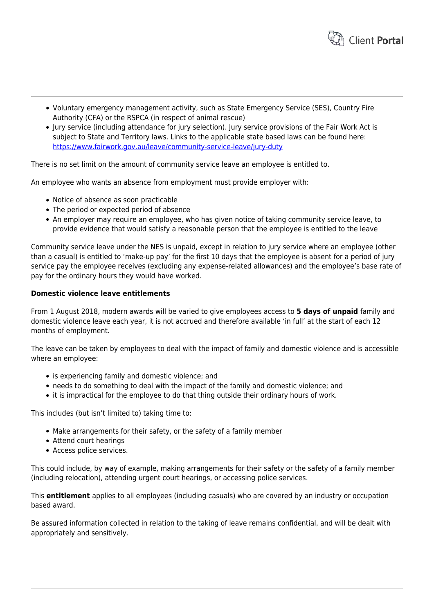

- Voluntary emergency management activity, such as State Emergency Service (SES), Country Fire Authority (CFA) or the RSPCA (in respect of animal rescue)
- Jury service (including attendance for jury selection). Jury service provisions of the Fair Work Act is subject to State and Territory laws. Links to the applicable state based laws can be found here: <https://www.fairwork.gov.au/leave/community-service-leave/jury-duty>

There is no set limit on the amount of community service leave an employee is entitled to.

An employee who wants an absence from employment must provide employer with:

- Notice of absence as soon practicable
- The period or expected period of absence
- An employer may require an employee, who has given notice of taking community service leave, to provide evidence that would satisfy a reasonable person that the employee is entitled to the leave

Community service leave under the NES is unpaid, except in relation to jury service where an employee (other than a casual) is entitled to 'make-up pay' for the first 10 days that the employee is absent for a period of jury service pay the employee receives (excluding any expense-related allowances) and the employee's base rate of pay for the ordinary hours they would have worked.

#### **Domestic violence leave entitlements**

From 1 August 2018, modern awards will be varied to give employees access to **5 days of unpaid** family and domestic violence leave each year, it is not accrued and therefore available 'in full' at the start of each 12 months of employment.

The leave can be taken by employees to deal with the impact of family and domestic violence and is accessible where an employee:

- is experiencing family and domestic violence; and
- needs to do something to deal with the impact of the family and domestic violence; and
- it is impractical for the employee to do that thing outside their ordinary hours of work.

This includes (but isn't limited to) taking time to:

- Make arrangements for their safety, or the safety of a family member
- Attend court hearings
- Access police services.

This could include, by way of example, making arrangements for their safety or the safety of a family member (including relocation), attending urgent court hearings, or accessing police services.

This **entitlement** applies to all employees (including casuals) who are covered by an industry or occupation based award.

Be assured information collected in relation to the taking of leave remains confidential, and will be dealt with appropriately and sensitively.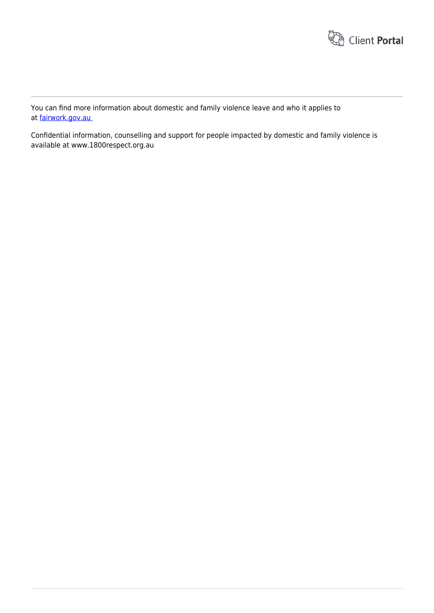

You can find more information about domestic and family violence leave and who it applies to at [fairwork.gov.au](http://www.fairwork.gov.au/fwo/webservices/click.ashx?g=33ba0ef3-cc7f-4b83-ba96-2cb1de872ccb&mid=203&ci=214&url=https://www.fairwork.gov.au/about-us/news-and-media-releases/website-news/new-unpaid-family-and-domestic-violence-leave-entitlement-in-awards) 

Confidential information, counselling and support for people impacted by domestic and family violence is available at www.1800respect.org.au